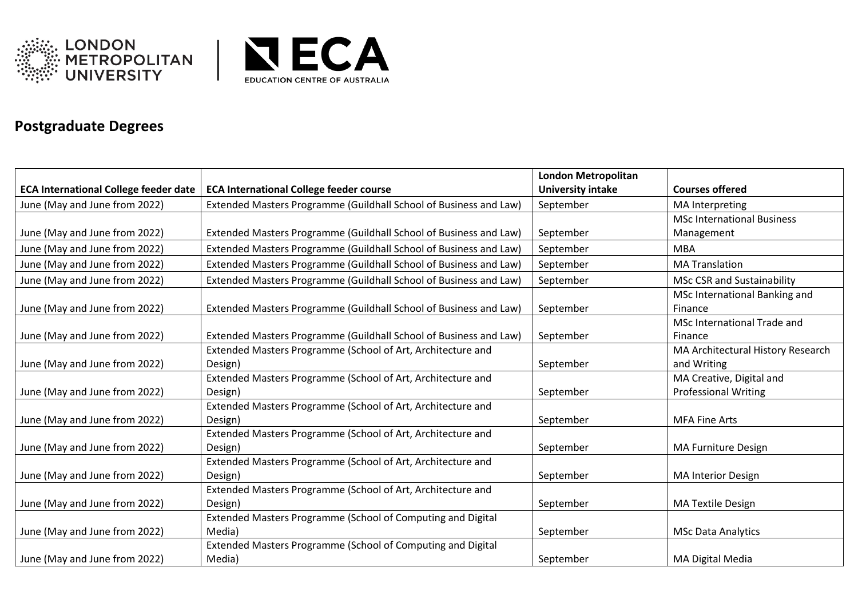



## **Postgraduate Degrees**

|                                              |                                                                   | <b>London Metropolitan</b> |                                   |
|----------------------------------------------|-------------------------------------------------------------------|----------------------------|-----------------------------------|
| <b>ECA International College feeder date</b> | <b>ECA International College feeder course</b>                    | <b>University intake</b>   | <b>Courses offered</b>            |
| June (May and June from 2022)                | Extended Masters Programme (Guildhall School of Business and Law) | September                  | MA Interpreting                   |
|                                              |                                                                   |                            | <b>MSc International Business</b> |
| June (May and June from 2022)                | Extended Masters Programme (Guildhall School of Business and Law) | September                  | Management                        |
| June (May and June from 2022)                | Extended Masters Programme (Guildhall School of Business and Law) | September                  | <b>MBA</b>                        |
| June (May and June from 2022)                | Extended Masters Programme (Guildhall School of Business and Law) | September                  | <b>MA Translation</b>             |
| June (May and June from 2022)                | Extended Masters Programme (Guildhall School of Business and Law) | September                  | <b>MSc CSR and Sustainability</b> |
|                                              |                                                                   |                            | MSc International Banking and     |
| June (May and June from 2022)                | Extended Masters Programme (Guildhall School of Business and Law) | September                  | Finance                           |
|                                              |                                                                   |                            | MSc International Trade and       |
| June (May and June from 2022)                | Extended Masters Programme (Guildhall School of Business and Law) | September                  | Finance                           |
|                                              | Extended Masters Programme (School of Art, Architecture and       |                            | MA Architectural History Research |
| June (May and June from 2022)                | Design)                                                           | September                  | and Writing                       |
|                                              | Extended Masters Programme (School of Art, Architecture and       |                            | MA Creative, Digital and          |
| June (May and June from 2022)                | Design)                                                           | September                  | <b>Professional Writing</b>       |
|                                              | Extended Masters Programme (School of Art, Architecture and       |                            |                                   |
| June (May and June from 2022)                | Design)                                                           | September                  | <b>MFA Fine Arts</b>              |
|                                              | Extended Masters Programme (School of Art, Architecture and       |                            |                                   |
| June (May and June from 2022)                | Design)                                                           | September                  | MA Furniture Design               |
|                                              | Extended Masters Programme (School of Art, Architecture and       |                            |                                   |
| June (May and June from 2022)                | Design)                                                           | September                  | <b>MA Interior Design</b>         |
|                                              | Extended Masters Programme (School of Art, Architecture and       |                            |                                   |
| June (May and June from 2022)                | Design)                                                           | September                  | <b>MA Textile Design</b>          |
|                                              | Extended Masters Programme (School of Computing and Digital       |                            |                                   |
| June (May and June from 2022)                | Media)                                                            | September                  | <b>MSc Data Analytics</b>         |
|                                              | Extended Masters Programme (School of Computing and Digital       |                            |                                   |
| June (May and June from 2022)                | Media)                                                            | September                  | <b>MA Digital Media</b>           |